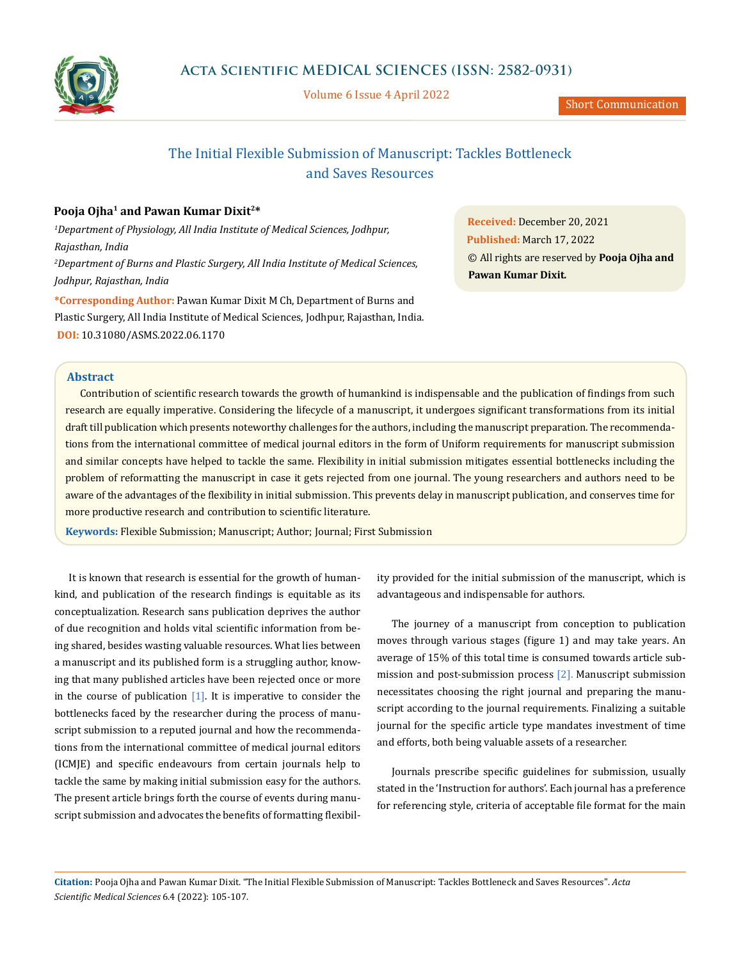

Volume 6 Issue 4 April 2022

## The Initial Flexible Submission of Manuscript: Tackles Bottleneck and Saves Resources

### **Pooja Ojha1 and Pawan Kumar Dixit2\***

*1 Department of Physiology, All India Institute of Medical Sciences, Jodhpur, Rajasthan, India 2 Department of Burns and Plastic Surgery, All India Institute of Medical Sciences, Jodhpur, Rajasthan, India*

**\*Corresponding Author:** Pawan Kumar Dixit M Ch, Department of Burns and Plastic Surgery, All India Institute of Medical Sciences, Jodhpur, Rajasthan, India. **DOI:** [10.31080/ASMS.2022.06.1170](https://actascientific.com/ASMS/pdf/ASMS-06-1170.pdf)

**Received:** December 20, 2021 **Published:** March 17, 2022 © All rights are reserved by **Pooja Ojha and Pawan Kumar Dixit***.* 

#### **Abstract**

Contribution of scientific research towards the growth of humankind is indispensable and the publication of findings from such research are equally imperative. Considering the lifecycle of a manuscript, it undergoes significant transformations from its initial draft till publication which presents noteworthy challenges for the authors, including the manuscript preparation. The recommendations from the international committee of medical journal editors in the form of Uniform requirements for manuscript submission and similar concepts have helped to tackle the same. Flexibility in initial submission mitigates essential bottlenecks including the problem of reformatting the manuscript in case it gets rejected from one journal. The young researchers and authors need to be aware of the advantages of the flexibility in initial submission. This prevents delay in manuscript publication, and conserves time for more productive research and contribution to scientific literature.

**Keywords:** Flexible Submission; Manuscript; Author; Journal; First Submission

It is known that research is essential for the growth of humankind, and publication of the research findings is equitable as its conceptualization. Research sans publication deprives the author of due recognition and holds vital scientific information from being shared, besides wasting valuable resources. What lies between a manuscript and its published form is a struggling author, knowing that many published articles have been rejected once or more in the course of publication  $[1]$ . It is imperative to consider the bottlenecks faced by the researcher during the process of manuscript submission to a reputed journal and how the recommendations from the international committee of medical journal editors (ICMJE) and specific endeavours from certain journals help to tackle the same by making initial submission easy for the authors. The present article brings forth the course of events during manuscript submission and advocates the benefits of formatting flexibility provided for the initial submission of the manuscript, which is advantageous and indispensable for authors.

The journey of a manuscript from conception to publication moves through various stages (figure 1) and may take years. An average of 15% of this total time is consumed towards article submission and post-submission process [2]. Manuscript submission necessitates choosing the right journal and preparing the manuscript according to the journal requirements. Finalizing a suitable journal for the specific article type mandates investment of time and efforts, both being valuable assets of a researcher.

Journals prescribe specific guidelines for submission, usually stated in the 'Instruction for authors'. Each journal has a preference for referencing style, criteria of acceptable file format for the main

**Citation:** Pooja Ojha and Pawan Kumar Dixit*.* "The Initial Flexible Submission of Manuscript: Tackles Bottleneck and Saves Resources". *Acta Scientific Medical Sciences* 6.4 (2022): 105-107.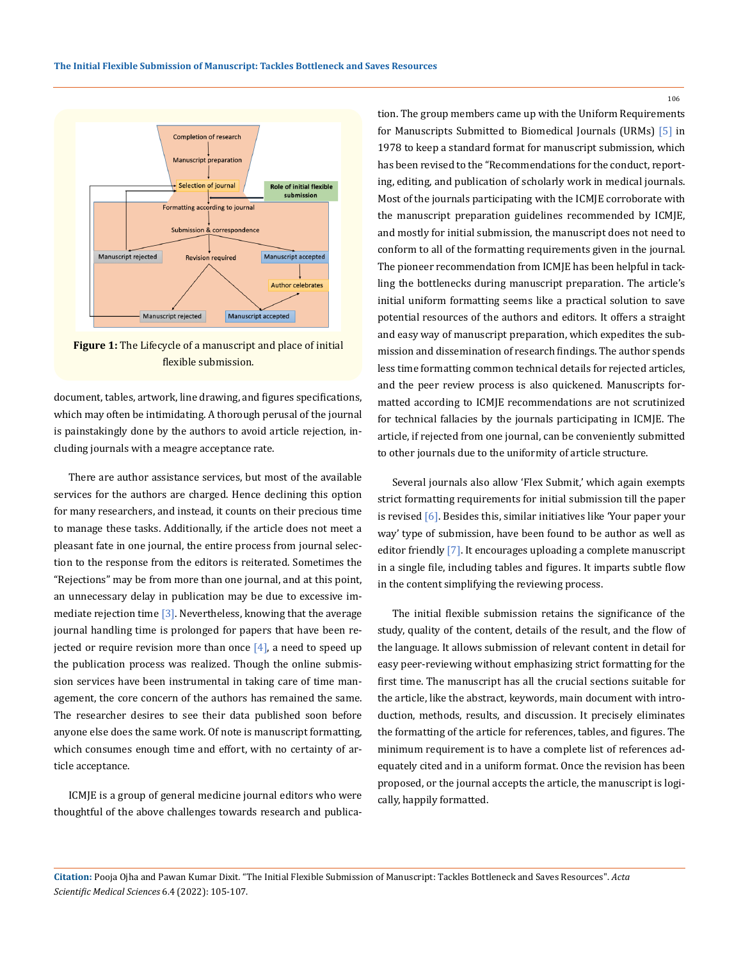

**Figure 1:** The Lifecycle of a manuscript and place of initial flexible submission.

document, tables, artwork, line drawing, and figures specifications, which may often be intimidating. A thorough perusal of the journal is painstakingly done by the authors to avoid article rejection, including journals with a meagre acceptance rate.

There are author assistance services, but most of the available services for the authors are charged. Hence declining this option for many researchers, and instead, it counts on their precious time to manage these tasks. Additionally, if the article does not meet a pleasant fate in one journal, the entire process from journal selection to the response from the editors is reiterated. Sometimes the "Rejections" may be from more than one journal, and at this point, an unnecessary delay in publication may be due to excessive immediate rejection time  $[3]$ . Nevertheless, knowing that the average journal handling time is prolonged for papers that have been rejected or require revision more than once  $[4]$ , a need to speed up the publication process was realized. Though the online submission services have been instrumental in taking care of time management, the core concern of the authors has remained the same. The researcher desires to see their data published soon before anyone else does the same work. Of note is manuscript formatting, which consumes enough time and effort, with no certainty of article acceptance.

ICMJE is a group of general medicine journal editors who were thoughtful of the above challenges towards research and publication. The group members came up with the Uniform Requirements for Manuscripts Submitted to Biomedical Journals (URMs) [5] in 1978 to keep a standard format for manuscript submission, which has been revised to the "Recommendations for the conduct, reporting, editing, and publication of scholarly work in medical journals. Most of the journals participating with the ICMJE corroborate with the manuscript preparation guidelines recommended by ICMJE, and mostly for initial submission, the manuscript does not need to conform to all of the formatting requirements given in the journal. The pioneer recommendation from ICMJE has been helpful in tackling the bottlenecks during manuscript preparation. The article's initial uniform formatting seems like a practical solution to save potential resources of the authors and editors. It offers a straight and easy way of manuscript preparation, which expedites the submission and dissemination of research findings. The author spends less time formatting common technical details for rejected articles, and the peer review process is also quickened. Manuscripts formatted according to ICMJE recommendations are not scrutinized for technical fallacies by the journals participating in ICMJE. The article, if rejected from one journal, can be conveniently submitted to other journals due to the uniformity of article structure.

Several journals also allow 'Flex Submit,' which again exempts strict formatting requirements for initial submission till the paper is revised [6]. Besides this, similar initiatives like 'Your paper your way' type of submission, have been found to be author as well as editor friendly [7]. It encourages uploading a complete manuscript in a single file, including tables and figures. It imparts subtle flow in the content simplifying the reviewing process.

The initial flexible submission retains the significance of the study, quality of the content, details of the result, and the flow of the language. It allows submission of relevant content in detail for easy peer-reviewing without emphasizing strict formatting for the first time. The manuscript has all the crucial sections suitable for the article, like the abstract, keywords, main document with introduction, methods, results, and discussion. It precisely eliminates the formatting of the article for references, tables, and figures. The minimum requirement is to have a complete list of references adequately cited and in a uniform format. Once the revision has been proposed, or the journal accepts the article, the manuscript is logically, happily formatted.

**Citation:** Pooja Ojha and Pawan Kumar Dixit*.* "The Initial Flexible Submission of Manuscript: Tackles Bottleneck and Saves Resources". *Acta Scientific Medical Sciences* 6.4 (2022): 105-107.

106